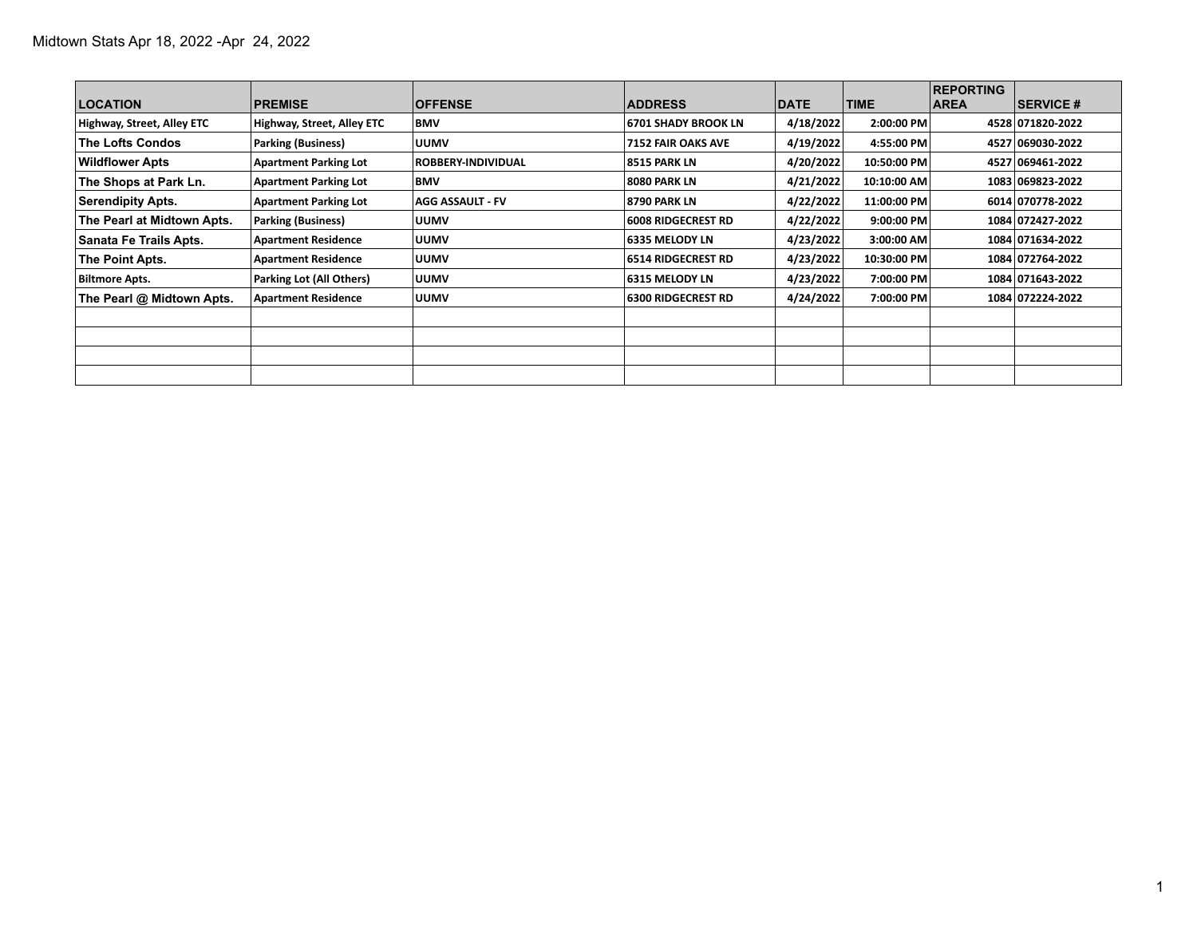| <b>LOCATION</b>            | <b>PREMISE</b>               | <b>OFFENSE</b>          | <b>ADDRESS</b>             | <b>DATE</b> | <b>TIME</b> | <b>REPORTING</b><br><b>AREA</b> | <b>SERVICE #</b> |
|----------------------------|------------------------------|-------------------------|----------------------------|-------------|-------------|---------------------------------|------------------|
| Highway, Street, Alley ETC | Highway, Street, Alley ETC   | <b>BMV</b>              | <b>6701 SHADY BROOK LN</b> | 4/18/2022   | 2:00:00 PM  |                                 | 4528 071820-2022 |
| <b>The Lofts Condos</b>    | <b>Parking (Business)</b>    | <b>UUMV</b>             | <b>7152 FAIR OAKS AVE</b>  | 4/19/2022   | 4:55:00 PM  |                                 | 4527 069030-2022 |
| <b>Wildflower Apts</b>     | <b>Apartment Parking Lot</b> | ROBBERY-INDIVIDUAL      | 8515 PARK LN               | 4/20/2022   | 10:50:00 PM |                                 | 4527 069461-2022 |
| The Shops at Park Ln.      | <b>Apartment Parking Lot</b> | <b>BMV</b>              | 8080 PARK LN               | 4/21/2022   | 10:10:00 AM |                                 | 1083 069823-2022 |
| <b>Serendipity Apts.</b>   | <b>Apartment Parking Lot</b> | <b>AGG ASSAULT - FV</b> | 8790 PARK LN               | 4/22/2022   | 11:00:00 PM |                                 | 6014 070778 2022 |
| The Pearl at Midtown Apts. | Parking (Business)           | <b>UUMV</b>             | <b>6008 RIDGECREST RD</b>  | 4/22/2022   | 9:00:00 PM  |                                 | 1084 072427-2022 |
| Sanata Fe Trails Apts.     | <b>Apartment Residence</b>   | <b>UUMV</b>             | 6335 MELODY LN             | 4/23/2022   | 3:00:00 AM  |                                 | 1084 071634-2022 |
| The Point Apts.            | <b>Apartment Residence</b>   | <b>UUMV</b>             | 6514 RIDGECREST RD         | 4/23/2022   | 10:30:00 PM |                                 | 1084 072764-2022 |
| <b>Biltmore Apts.</b>      | Parking Lot (All Others)     | <b>UUMV</b>             | <b>6315 MELODY LN</b>      | 4/23/2022   | 7:00:00 PM  |                                 | 1084 071643-2022 |
| The Pearl @ Midtown Apts.  | <b>Apartment Residence</b>   | <b>UUMV</b>             | 6300 RIDGECREST RD         | 4/24/2022   | 7:00:00 PM  |                                 | 1084 072224-2022 |
|                            |                              |                         |                            |             |             |                                 |                  |
|                            |                              |                         |                            |             |             |                                 |                  |
|                            |                              |                         |                            |             |             |                                 |                  |
|                            |                              |                         |                            |             |             |                                 |                  |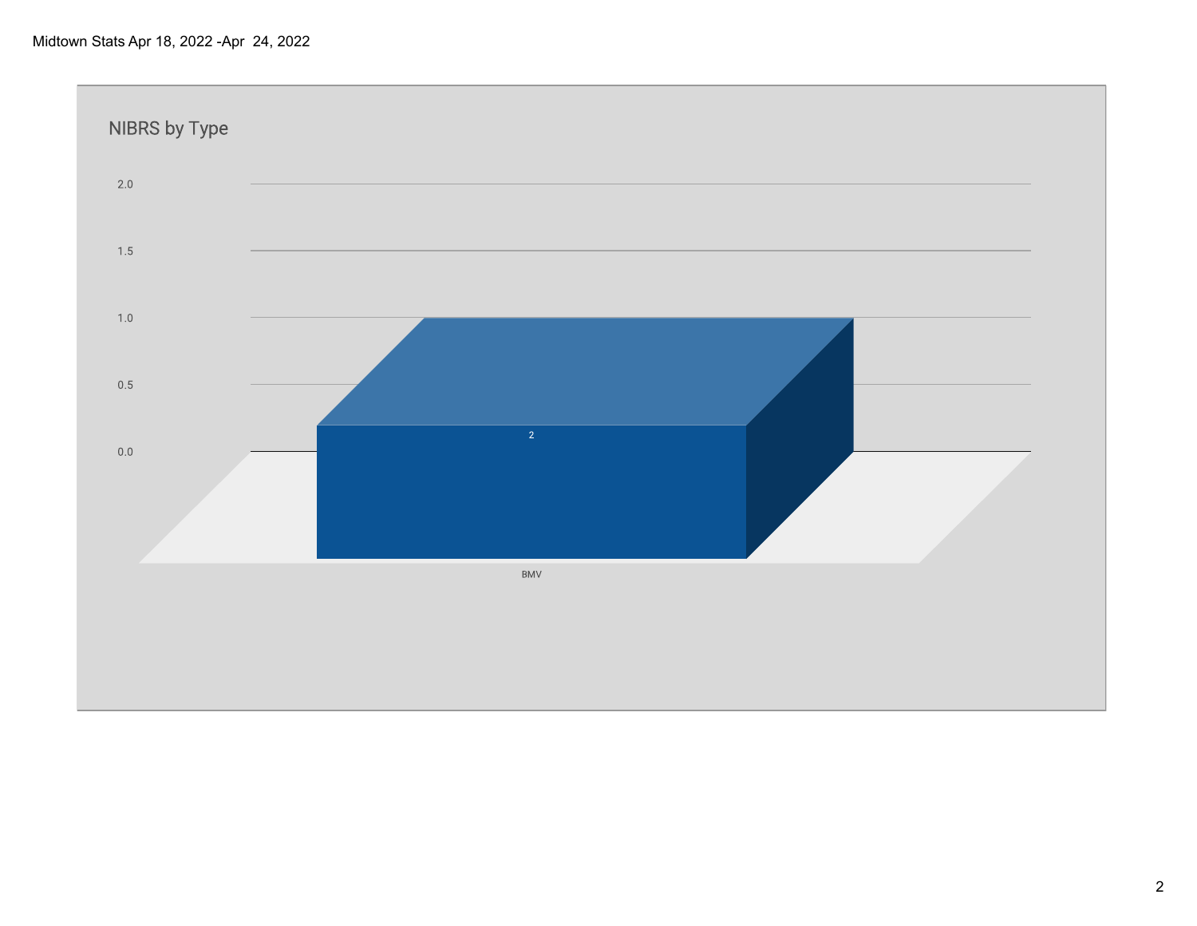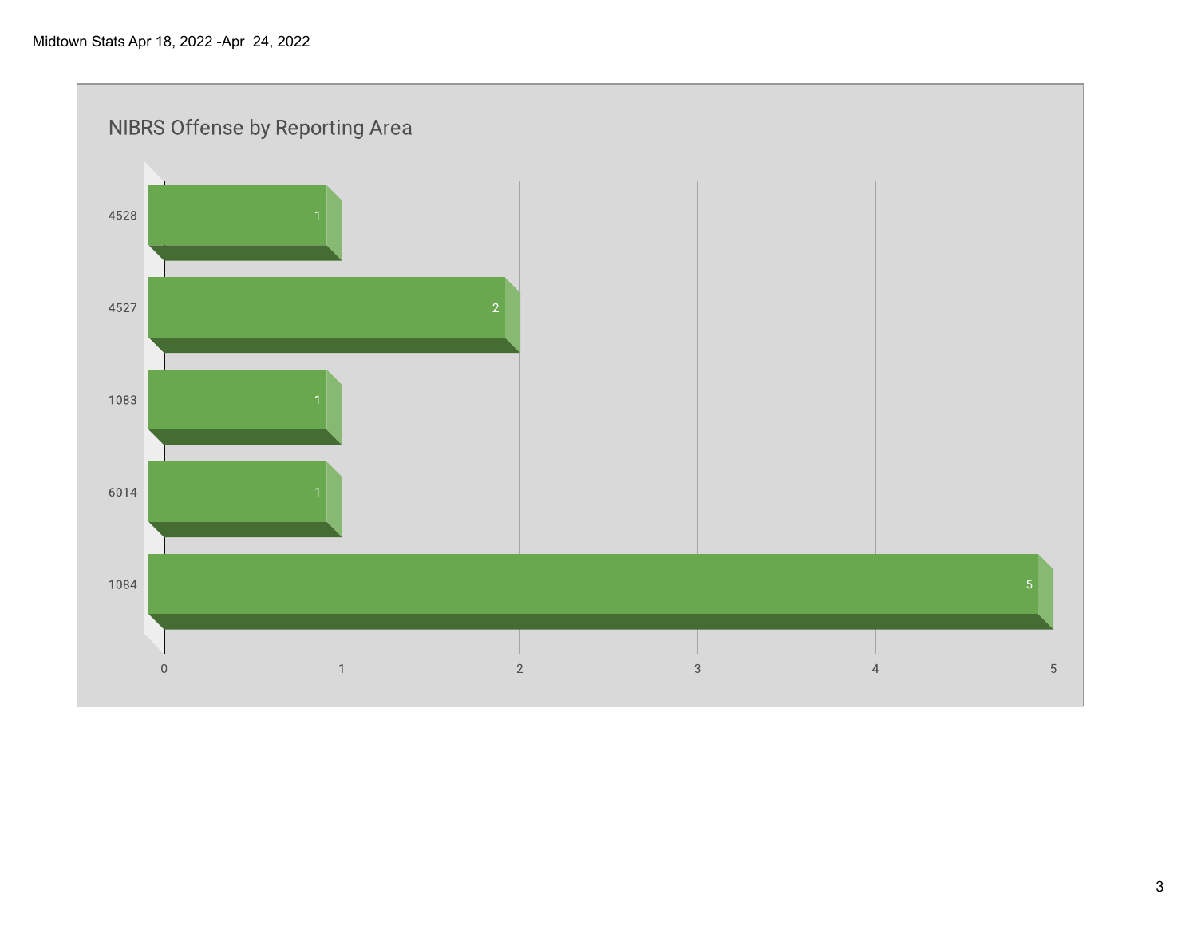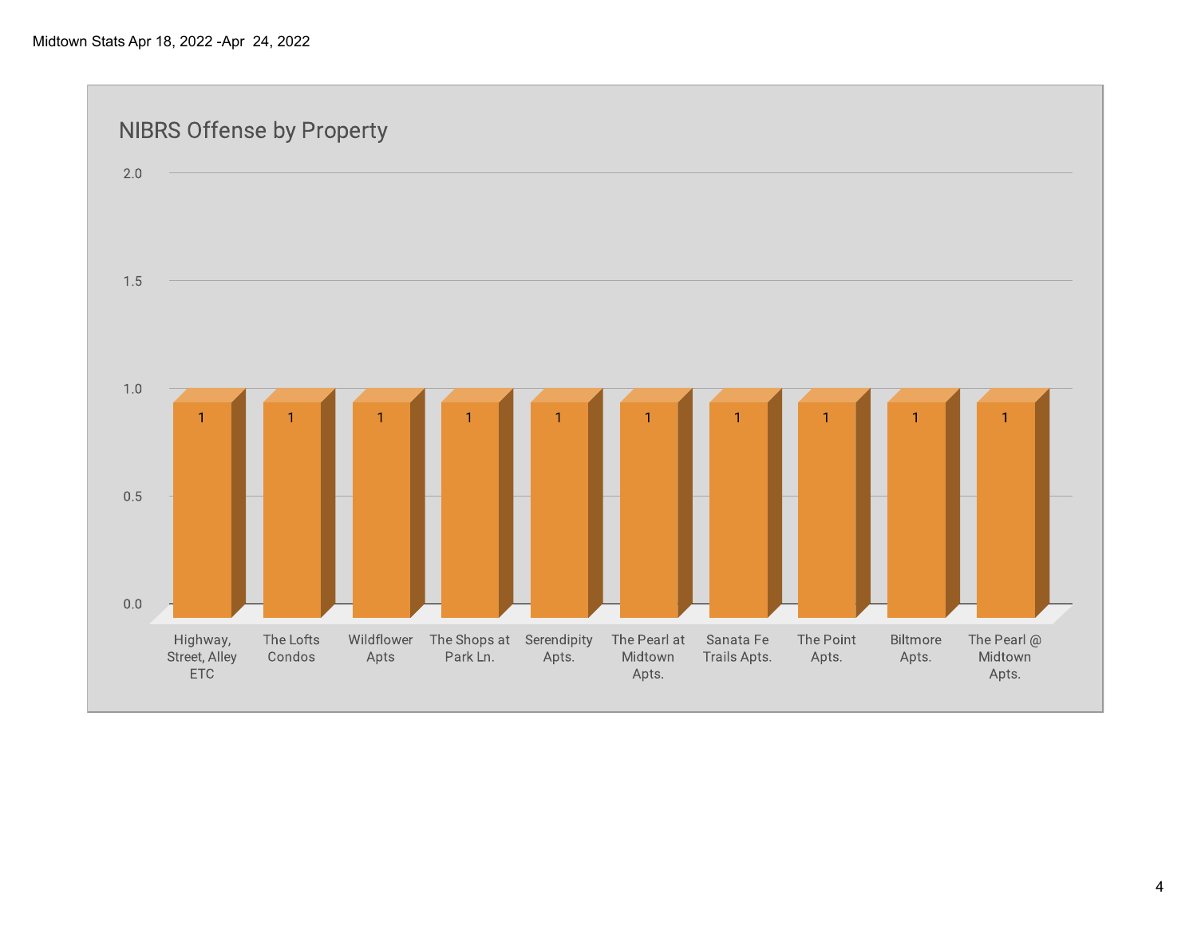